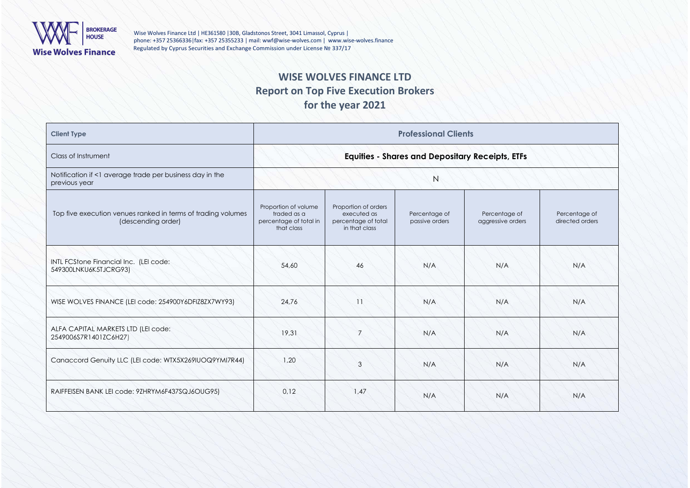

Wise Wolves Finance Ltd | ΗΕ361580 | 30B, Gladstonos Street, 3041 Limassol, Cyprus | phone: +357 25366336|fax: +357 25355233 | mail[: wwf@wise-wolves.com](mailto:wwf@wise-wolves.com) | [www.wise-wolves.finance](http://www.wise-wolves.finance/) Regulated by Cyprus Securities and Exchange Commission under License № 337/17

# **WISE WOLVES FINANCE LTD Report on Top Five Execution Brokers for the year 2021**

| <b>Client Type</b>                                                                 | <b>Professional Clients</b>                                                 |                                                                             |                                 |                                    |                                  |  |
|------------------------------------------------------------------------------------|-----------------------------------------------------------------------------|-----------------------------------------------------------------------------|---------------------------------|------------------------------------|----------------------------------|--|
| Class of Instrument                                                                | <b>Equities - Shares and Depositary Receipts, ETFs</b>                      |                                                                             |                                 |                                    |                                  |  |
| Notification if <1 average trade per business day in the<br>previous year          |                                                                             |                                                                             | N                               |                                    |                                  |  |
| Top five execution venues ranked in terms of trading volumes<br>(descending order) | Proportion of volume<br>traded as a<br>percentage of total in<br>that class | Proportion of orders<br>executed as<br>percentage of total<br>in that class | Percentage of<br>passive orders | Percentage of<br>aggressive orders | Percentage of<br>directed orders |  |
| INTL FCStone Financial Inc. (LEI code:<br>549300LNKU6K5TJCRG93)                    | 54.60                                                                       | 46                                                                          | N/A                             | N/A                                | N/A                              |  |
| WISE WOLVES FINANCE (LEI code: 254900Y6DFIZ8ZX7WY93)                               | 24.76                                                                       | 11                                                                          | N/A                             | N/A                                | N/A                              |  |
| ALFA CAPITAL MARKETS LTD (LEI code:<br>2549006S7R1401ZC6H27)                       | 19,31                                                                       | 7                                                                           | N/A                             | N/A                                | N/A                              |  |
| Canaccord Genuity LLC (LEI code: WTX5X269IUOQ9YMI7R44)                             | 1.20                                                                        | 3                                                                           | N/A                             | N/A                                | N/A                              |  |
| RAIFFEISEN BANK LEI code: 9ZHRYM6F437SQJ6OUG95)                                    | 0.12                                                                        | 1,47                                                                        | N/A                             | N/A                                | N/A                              |  |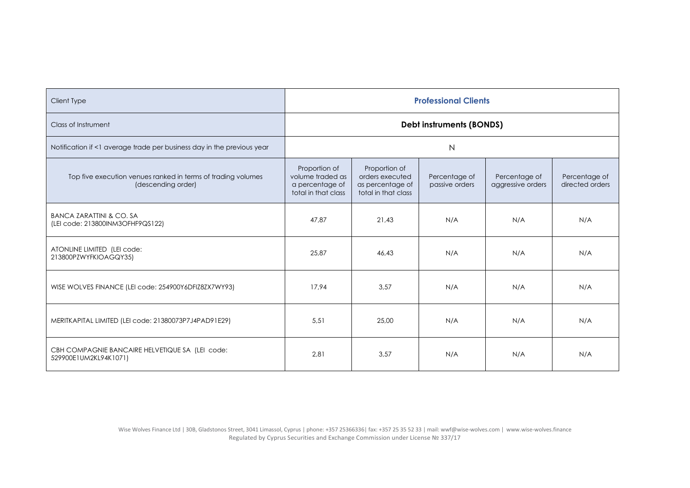| <b>Client Type</b>                                                                 | <b>Professional Clients</b>                                                 |                                                                             |                                 |                                    |                                  |  |
|------------------------------------------------------------------------------------|-----------------------------------------------------------------------------|-----------------------------------------------------------------------------|---------------------------------|------------------------------------|----------------------------------|--|
| Class of Instrument                                                                | <b>Debt instruments (BONDS)</b>                                             |                                                                             |                                 |                                    |                                  |  |
| Notification if <1 average trade per business day in the previous year             | N                                                                           |                                                                             |                                 |                                    |                                  |  |
| Top five execution venues ranked in terms of trading volumes<br>(descending order) | Proportion of<br>volume traded as<br>a percentage of<br>total in that class | Proportion of<br>orders executed<br>as percentage of<br>total in that class | Percentage of<br>passive orders | Percentage of<br>aggressive orders | Percentage of<br>directed orders |  |
| <b>BANCA ZARATTINI &amp; CO. SA</b><br>(LEI code: 213800INM3OFHF9QS122)            | 47.87                                                                       | 21.43                                                                       | N/A                             | N/A                                | N/A                              |  |
| ATONLINE LIMITED (LEI code:<br>213800PZWYFKIOAGQY35)                               | 25,87                                                                       | 46.43                                                                       | N/A                             | N/A                                | N/A                              |  |
| WISE WOLVES FINANCE (LEI code: 254900Y6DFIZ8ZX7WY93)                               | 17.94                                                                       | 3.57                                                                        | N/A                             | N/A                                | N/A                              |  |
| MERITKAPITAL LIMITED (LEI code: 21380073P7J4PAD91E29)                              | 5,51                                                                        | 25,00                                                                       | N/A                             | N/A                                | N/A                              |  |
| CBH COMPAGNIE BANCAIRE HELVETIQUE SA (LEI code:<br>529900E1UM2KL94K1071)           | 2,81                                                                        | 3,57                                                                        | N/A                             | N/A                                | N/A                              |  |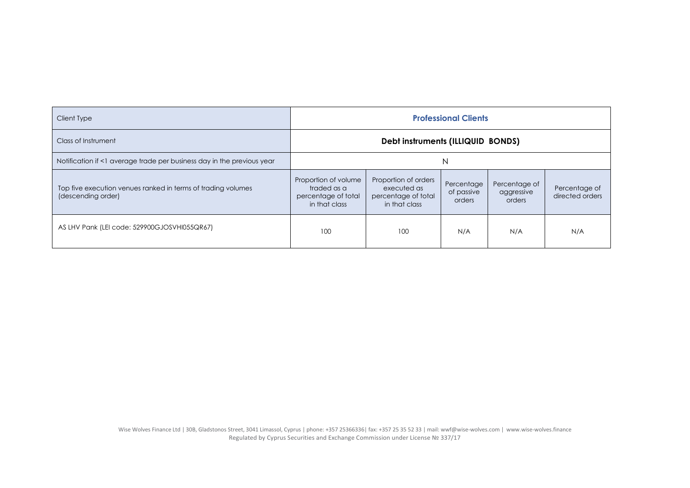| Client Type                                                                        | <b>Professional Clients</b>                                                 |                                                                             |                                    |                                       |                                  |  |
|------------------------------------------------------------------------------------|-----------------------------------------------------------------------------|-----------------------------------------------------------------------------|------------------------------------|---------------------------------------|----------------------------------|--|
| Class of Instrument                                                                | Debt instruments (ILLIQUID BONDS)                                           |                                                                             |                                    |                                       |                                  |  |
| Notification if <1 average trade per business day in the previous year             | N                                                                           |                                                                             |                                    |                                       |                                  |  |
| Top five execution venues ranked in terms of trading volumes<br>(descending order) | Proportion of volume<br>traded as a<br>percentage of total<br>in that class | Proportion of orders<br>executed as<br>percentage of total<br>in that class | Percentage<br>of passive<br>orders | Percentage of<br>aggressive<br>orders | Percentage of<br>directed orders |  |
| AS LHV Pank (LEI code: 529900GJOSVHI055QR67)                                       | 100                                                                         | 100                                                                         | N/A                                | N/A                                   | N/A                              |  |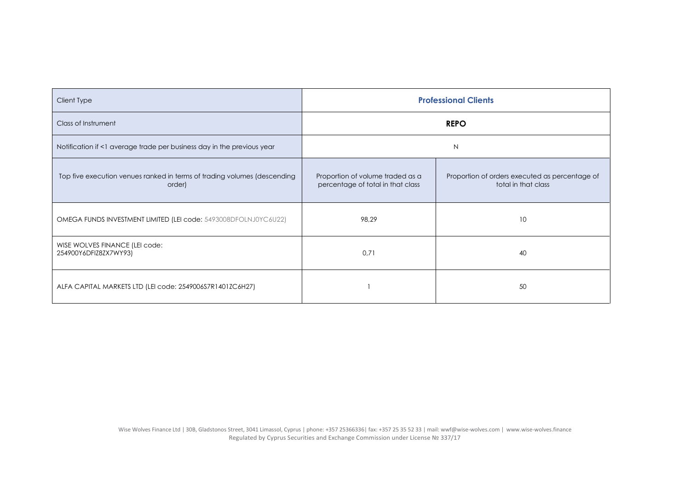| Client Type                                                                        | <b>Professional Clients</b>                                           |                                                                       |  |  |
|------------------------------------------------------------------------------------|-----------------------------------------------------------------------|-----------------------------------------------------------------------|--|--|
| Class of Instrument                                                                | <b>REPO</b>                                                           |                                                                       |  |  |
| Notification if <1 average trade per business day in the previous year             | N                                                                     |                                                                       |  |  |
| Top five execution venues ranked in terms of trading volumes (descending<br>order) | Proportion of volume traded as a<br>percentage of total in that class | Proportion of orders executed as percentage of<br>total in that class |  |  |
| OMEGA FUNDS INVESTMENT LIMITED (LEI code: 5493008DFOLNJ0YC6U22)                    | 98,29                                                                 | 10                                                                    |  |  |
| WISE WOLVES FINANCE (LEI code:<br>254900Y6DFIZ8ZX7WY93)                            | 0,71                                                                  | 40                                                                    |  |  |
| ALFA CAPITAL MARKETS LTD (LEI code: 2549006S7R1401ZC6H27)                          |                                                                       | 50                                                                    |  |  |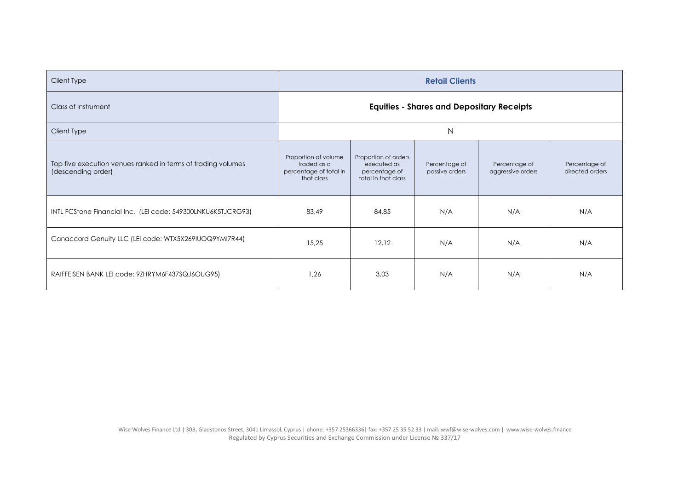| Client Type                                                                        | <b>Retail Clients</b>                                                       |                                                                             |                                 |                                    |                                  |  |
|------------------------------------------------------------------------------------|-----------------------------------------------------------------------------|-----------------------------------------------------------------------------|---------------------------------|------------------------------------|----------------------------------|--|
| Class of Instrument                                                                | <b>Equities - Shares and Depositary Receipts</b>                            |                                                                             |                                 |                                    |                                  |  |
| Client Type                                                                        | $\mathsf{N}$                                                                |                                                                             |                                 |                                    |                                  |  |
| Top five execution venues ranked in terms of trading volumes<br>(descending order) | Proportion of volume<br>traded as a<br>percentage of total in<br>that class | Proportion of orders<br>executed as<br>percentage of<br>total in that class | Percentage of<br>passive orders | Percentage of<br>aggressive orders | Percentage of<br>directed orders |  |
| INTL FCStone Financial Inc. (LEI code: 549300LNKU6K5TJCRG93)                       | 83.49                                                                       | 84,85                                                                       | N/A                             | N/A                                | N/A                              |  |
| Canaccord Genuity LLC (LEI code: WTX5X269IUOQ9YMI7R44)                             | 15,25                                                                       | 12,12                                                                       | N/A                             | N/A                                | N/A                              |  |
| RAIFFEISEN BANK LEI code: 9ZHRYM6F437SQJ6OUG95)                                    | 1,26                                                                        | 3,03                                                                        | N/A                             | N/A                                | N/A                              |  |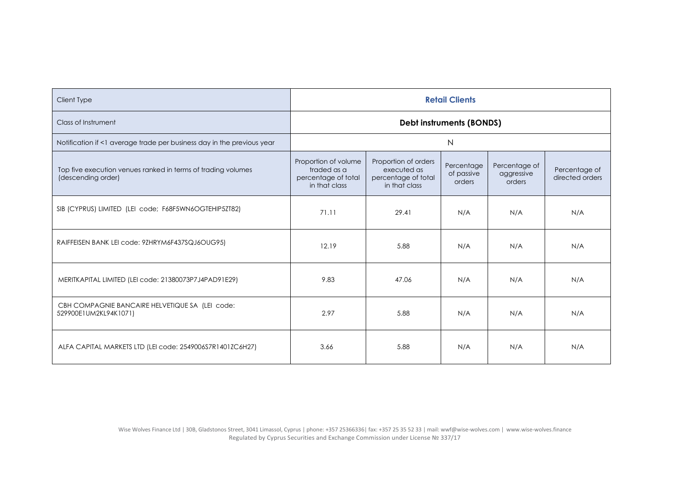| Client Type                                                                        | <b>Retail Clients</b>                                                       |                                                                             |                                    |                                       |                                  |  |
|------------------------------------------------------------------------------------|-----------------------------------------------------------------------------|-----------------------------------------------------------------------------|------------------------------------|---------------------------------------|----------------------------------|--|
| Class of Instrument                                                                | Debt instruments (BONDS)                                                    |                                                                             |                                    |                                       |                                  |  |
| Notification if <1 average trade per business day in the previous year             | $\mathsf{N}$                                                                |                                                                             |                                    |                                       |                                  |  |
| Top five execution venues ranked in terms of trading volumes<br>(descending order) | Proportion of volume<br>traded as a<br>percentage of total<br>in that class | Proportion of orders<br>executed as<br>percentage of total<br>in that class | Percentage<br>of passive<br>orders | Percentage of<br>aggressive<br>orders | Percentage of<br>directed orders |  |
| SIB (CYPRUS) LIMITED (LEI code; F68F5WN6OGTEHIP5ZT82)                              | 71.11                                                                       | 29.41                                                                       | N/A                                | N/A                                   | N/A                              |  |
| RAIFFEISEN BANK LEI code: 9ZHRYM6F437SQJ6OUG95)                                    | 12.19                                                                       | 5.88                                                                        | N/A                                | N/A                                   | N/A                              |  |
| MERITKAPITAL LIMITED (LEI code: 21380073P7J4PAD91E29)                              | 9.83                                                                        | 47.06                                                                       | N/A                                | N/A                                   | N/A                              |  |
| CBH COMPAGNIE BANCAIRE HELVETIQUE SA (LEI code:<br>529900E1UM2KL94K1071)           | 2.97                                                                        | 5.88                                                                        | N/A                                | N/A                                   | N/A                              |  |
| ALFA CAPITAL MARKETS LTD (LEI code: 2549006S7R1401ZC6H27)                          | 3.66                                                                        | 5.88                                                                        | N/A                                | N/A                                   | N/A                              |  |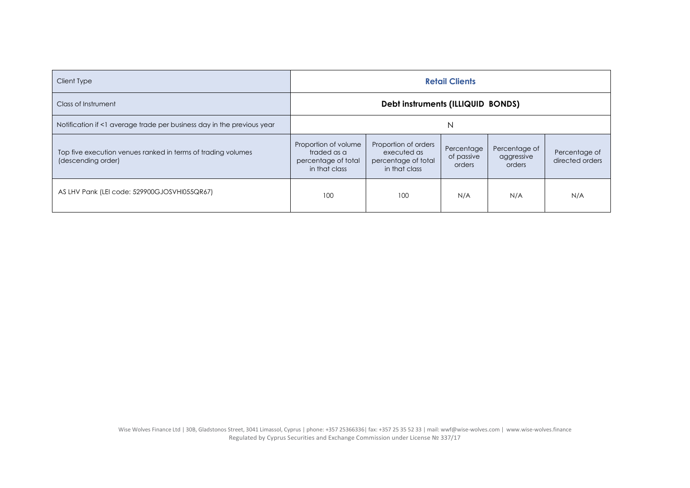| Client Type                                                                        | <b>Retail Clients</b>                                                       |                                                                             |                                    |                                       |                                  |  |
|------------------------------------------------------------------------------------|-----------------------------------------------------------------------------|-----------------------------------------------------------------------------|------------------------------------|---------------------------------------|----------------------------------|--|
| Class of Instrument                                                                | Debt instruments (ILLIQUID BONDS)                                           |                                                                             |                                    |                                       |                                  |  |
| Notification if <1 average trade per business day in the previous year             | N                                                                           |                                                                             |                                    |                                       |                                  |  |
| Top five execution venues ranked in terms of trading volumes<br>(descending order) | Proportion of volume<br>traded as a<br>percentage of total<br>in that class | Proportion of orders<br>executed as<br>percentage of total<br>in that class | Percentage<br>of passive<br>orders | Percentage of<br>aggressive<br>orders | Percentage of<br>directed orders |  |
| AS LHV Pank (LEI code: 529900GJOSVHI055QR67)                                       | 100                                                                         | 100                                                                         | N/A                                | N/A                                   | N/A                              |  |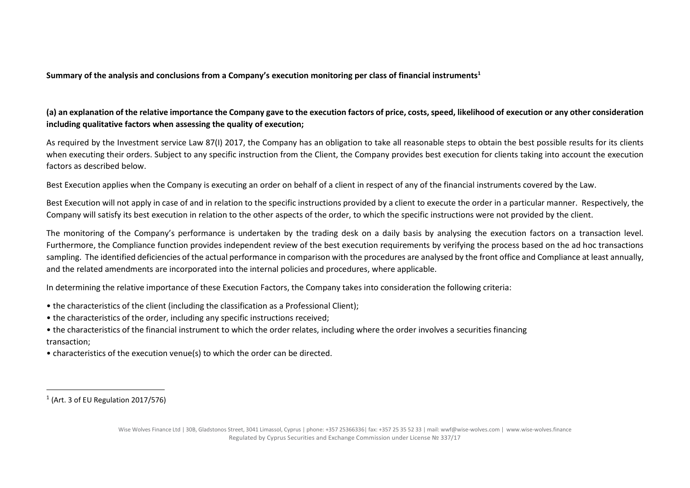**Summary of the analysis and conclusions from a Company's execution monitoring per class of financial instruments<sup>1</sup>**

## **(a) an explanation of the relative importance the Company gave to the execution factors of price, costs, speed, likelihood of execution or any other consideration including qualitative factors when assessing the quality of execution;**

As required by the Investment service Law 87(I) 2017, the Company has an obligation to take all reasonable steps to obtain the best possible results for its clients when executing their orders. Subject to any specific instruction from the Client, the Company provides best execution for clients taking into account the execution factors as described below.

Best Execution applies when the Company is executing an order on behalf of a client in respect of any of the financial instruments covered by the Law.

Best Execution will not apply in case of and in relation to the specific instructions provided by a client to execute the order in a particular manner. Respectively, the Company will satisfy its best execution in relation to the other aspects of the order, to which the specific instructions were not provided by the client.

The monitoring of the Company's performance is undertaken by the trading desk on a daily basis by analysing the execution factors on a transaction level. Furthermore, the Compliance function provides independent review of the best execution requirements by verifying the process based on the ad hoc transactions sampling. The identified deficiencies of the actual performance in comparison with the procedures are analysed by the front office and Compliance at least annually, and the related amendments are incorporated into the internal policies and procedures, where applicable.

In determining the relative importance of these Execution Factors, the Company takes into consideration the following criteria:

- the characteristics of the client (including the classification as a Professional Client);
- the characteristics of the order, including any specific instructions received;
- the characteristics of the financial instrument to which the order relates, including where the order involves a securities financing transaction;
- characteristics of the execution venue(s) to which the order can be directed.

 $<sup>1</sup>$  (Art. 3 of EU Regulation 2017/576)</sup>

Wise Wolves Finance Ltd | 30B, Gladstonos Street, 3041 Limassol, Cyprus | phone: +357 25366336| fax: +357 25 35 52 33 | mail[: wwf@wise-wolves.com](mailto:wwf@wise-wolves.com) | [www.wise-wolves.finance](http://www.wise-wolves.finance/) Regulated by Cyprus Securities and Exchange Commission under License № 337/17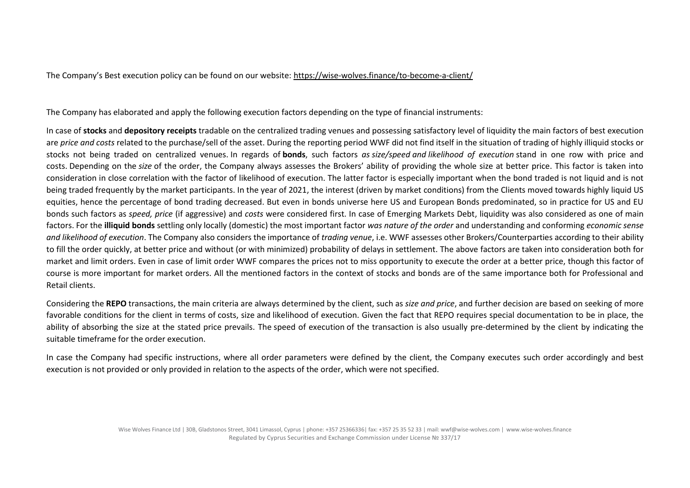The Company's Best execution policy can be found on our website: <https://wise-wolves.finance/to-become-a-client/>

The Company has elaborated and apply the following execution factors depending on the type of financial instruments:

In case of **stocks** and **depository receipts** tradable on the centralized trading venues and possessing satisfactory level of liquidity the main factors of best execution are *price and costs* related to the purchase/sell of the asset. During the reporting period WWF did not find itself in the situation of trading of highly illiquid stocks or stocks not being traded on centralized venues. In regards of **bonds**, such factors *as size/speed and likelihood of execution* stand in one row with price and costs. Depending on the *size* of the order, the Company always assesses the Brokers' ability of providing the whole size at better price. This factor is taken into consideration in close correlation with the factor of likelihood of execution. The latter factor is especially important when the bond traded is not liquid and is not being traded frequently by the market participants. In the year of 2021, the interest (driven by market conditions) from the Clients moved towards highly liquid US equities, hence the percentage of bond trading decreased. But even in bonds universe here US and European Bonds predominated, so in practice for US and EU bonds such factors as *speed, price* (if aggressive) and *costs* were considered first. In case of Emerging Markets Debt, liquidity was also considered as one of main factors. For the **illiquid bonds** settling only locally (domestic) the most important factor *was nature of the order* and understanding and conforming *economic sense and likelihood of execution*. The Company also considers the importance of *trading venue*, i.e. WWF assesses other Brokers/Counterparties according to their ability to fill the order quickly, at better price and without (or with minimized) probability of delays in settlement. The above factors are taken into consideration both for market and limit orders. Even in case of limit order WWF compares the prices not to miss opportunity to execute the order at a better price, though this factor of course is more important for market orders. All the mentioned factors in the context of stocks and bonds are of the same importance both for Professional and Retail clients.

Considering the **REPO** transactions, the main criteria are always determined by the client, such as *size and price*, and further decision are based on seeking of more favorable conditions for the client in terms of costs, size and likelihood of execution. Given the fact that REPO requires special documentation to be in place, the ability of absorbing the size at the stated price prevails. The speed of execution of the transaction is also usually pre-determined by the client by indicating the suitable timeframe for the order execution.

In case the Company had specific instructions, where all order parameters were defined by the client, the Company executes such order accordingly and best execution is not provided or only provided in relation to the aspects of the order, which were not specified.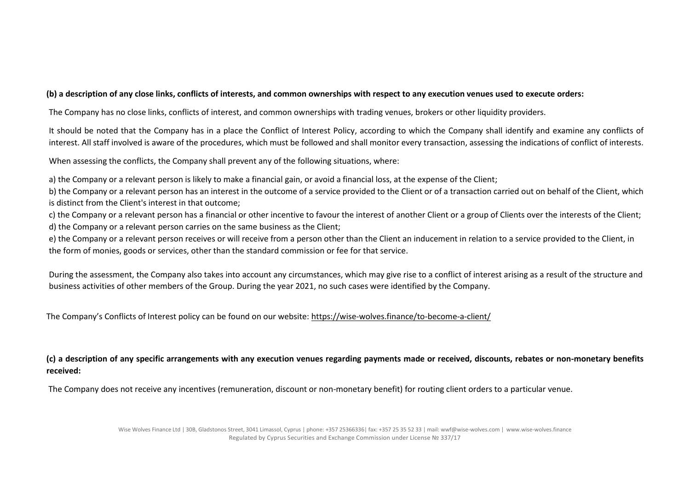#### **(b) a description of any close links, conflicts of interests, and common ownerships with respect to any execution venues used to execute orders:**

The Company has no close links, conflicts of interest, and common ownerships with trading venues, brokers or other liquidity providers.

It should be noted that the Company has in a place the Conflict of Interest Policy, according to which the Company shall identify and examine any conflicts of interest. All staff involved is aware of the procedures, which must be followed and shall monitor every transaction, assessing the indications of conflict of interests.

When assessing the conflicts, the Company shall prevent any of the following situations, where:

a) the Company or a relevant person is likely to make a financial gain, or avoid a financial loss, at the expense of the Client;

b) the Company or a relevant person has an interest in the outcome of a service provided to the Client or of a transaction carried out on behalf of the Client, which is distinct from the Client's interest in that outcome;

c) the Company or a relevant person has a financial or other incentive to favour the interest of another Client or a group of Clients over the interests of the Client; d) the Company or a relevant person carries on the same business as the Client;

e) the Company or a relevant person receives or will receive from a person other than the Client an inducement in relation to a service provided to the Client, in the form of monies, goods or services, other than the standard commission or fee for that service.

During the assessment, the Company also takes into account any circumstances, which may give rise to a conflict of interest arising as a result of the structure and business activities of other members of the Group. During the year 2021, no such cases were identified by the Company.

The Company's Conflicts of Interest policy can be found on our website: <https://wise-wolves.finance/to-become-a-client/>

**(c) a description of any specific arrangements with any execution venues regarding payments made or received, discounts, rebates or non-monetary benefits received:** 

The Company does not receive any incentives (remuneration, discount or non-monetary benefit) for routing client orders to a particular venue.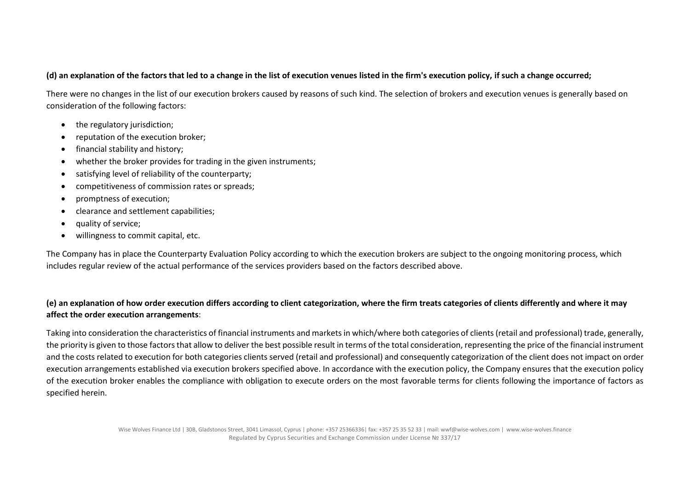#### **(d) an explanation of the factors that led to a change in the list of execution venues listed in the firm's execution policy, if such a change occurred;**

There were no changes in the list of our execution brokers caused by reasons of such kind. The selection of brokers and execution venues is generally based on consideration of the following factors:

- the regulatory jurisdiction:
- reputation of the execution broker;
- financial stability and history;
- whether the broker provides for trading in the given instruments;
- satisfying level of reliability of the counterparty;
- competitiveness of commission rates or spreads;
- promptness of execution;
- clearance and settlement capabilities;
- quality of service;
- willingness to commit capital, etc.

The Company has in place the Counterparty Evaluation Policy according to which the execution brokers are subject to the ongoing monitoring process, which includes regular review of the actual performance of the services providers based on the factors described above.

### **(e) an explanation of how order execution differs according to client categorization, where the firm treats categories of clients differently and where it may affect the order execution arrangements**:

Taking into consideration the characteristics of financial instruments and markets in which/where both categories of clients (retail and professional) trade, generally, the priority is given to those factors that allow to deliver the best possible result in terms of the total consideration, representing the price of the financial instrument and the costs related to execution for both categories clients served (retail and professional) and consequently categorization of the client does not impact on order execution arrangements established via execution brokers specified above. In accordance with the execution policy, the Company ensures that the execution policy of the execution broker enables the compliance with obligation to execute orders on the most favorable terms for clients following the importance of factors as specified herein.